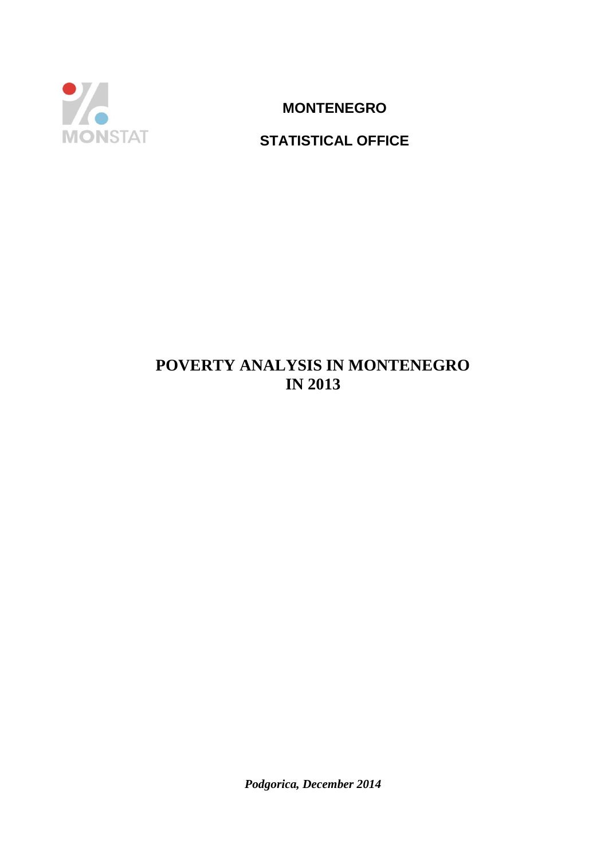

**MONTENEGRO**

# **STATISTICAL OFFICE**

# **POVERTY ANALYSIS IN MONTENEGRO IN 2013**

*Podgorica, December 2014*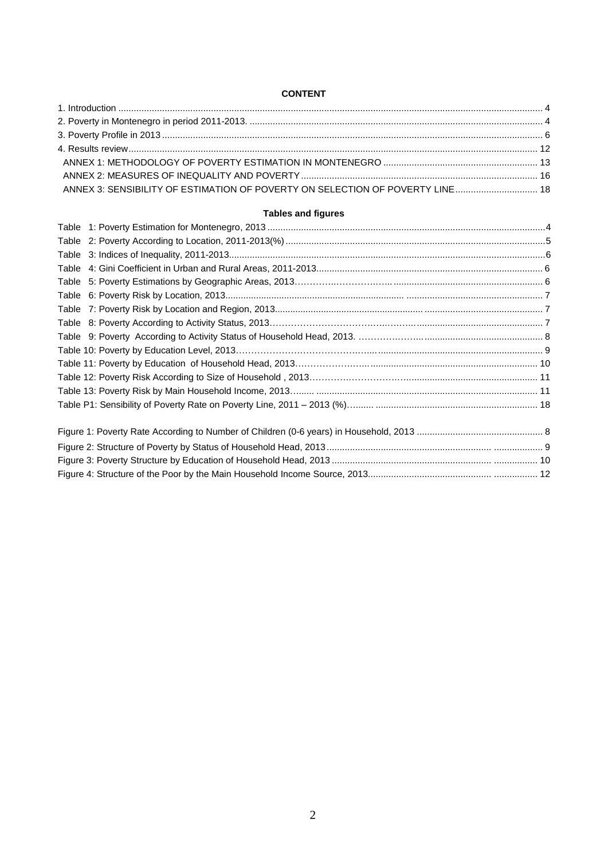#### **CONTENT**

| ANNEX 3: SENSIBILITY OF ESTIMATION OF POVERTY ON SELECTION OF POVERTY LINE 18 |  |
|-------------------------------------------------------------------------------|--|

#### **Tables and figures**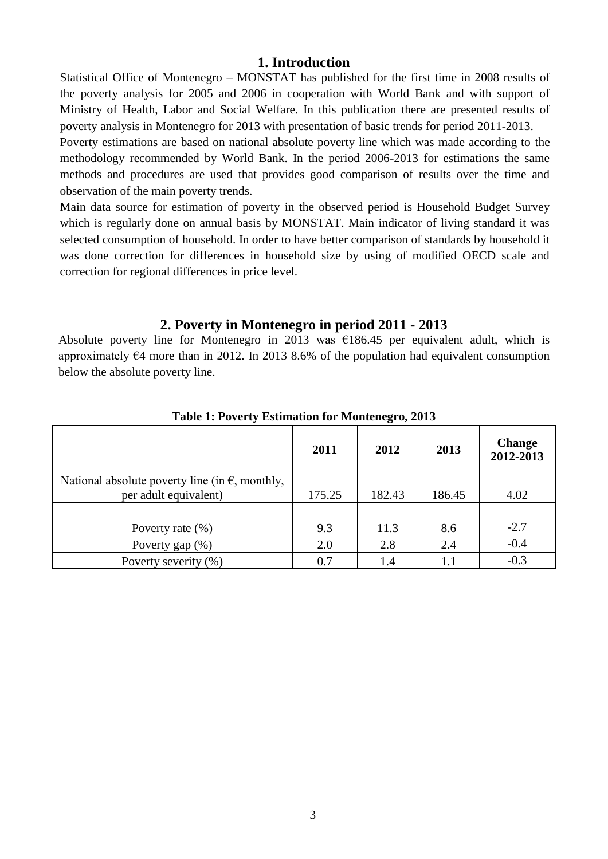# **1. Introduction**

Statistical Office of Montenegro – MONSTAT has published for the first time in 2008 results of the poverty analysis for 2005 and 2006 in cooperation with World Bank and with support of Ministry of Health, Labor and Social Welfare. In this publication there are presented results of poverty analysis in Montenegro for 2013 with presentation of basic trends for period 2011-2013.

Poverty estimations are based on national absolute poverty line which was made according to the methodology recommended by World Bank. In the period 2006-2013 for estimations the same methods and procedures are used that provides good comparison of results over the time and observation of the main poverty trends.

Main data source for estimation of poverty in the observed period is Household Budget Survey which is regularly done on annual basis by MONSTAT. Main indicator of living standard it was selected consumption of household. In order to have better comparison of standards by household it was done correction for differences in household size by using of modified OECD scale and correction for regional differences in price level.

# **2. Poverty in Montenegro in period 2011 - 2013**

Absolute poverty line for Montenegro in 2013 was  $\epsilon$ 186.45 per equivalent adult, which is approximately  $64$  more than in 2012. In 2013 8.6% of the population had equivalent consumption below the absolute poverty line.

|                                                                                   | 2011   | 2012   | 2013   | <b>Change</b><br>2012-2013 |
|-----------------------------------------------------------------------------------|--------|--------|--------|----------------------------|
| National absolute poverty line (in $\epsilon$ , monthly,<br>per adult equivalent) | 175.25 | 182.43 | 186.45 | 4.02                       |
| Poverty rate $(\% )$                                                              | 9.3    | 11.3   | 8.6    | $-2.7$                     |
| Poverty gap $(\%)$                                                                | 2.0    | 2.8    | 2.4    | $-0.4$                     |
| Poverty severity (%)                                                              | 0.7    | 1.4    | 1.1    | $-0.3$                     |

**Table 1: Poverty Estimation for Montenegro, 2013**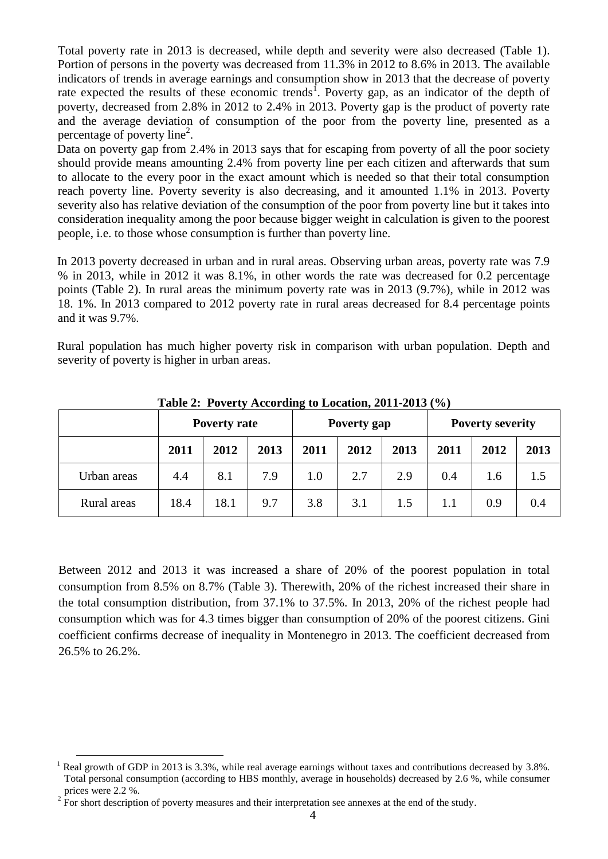Total poverty rate in 2013 is decreased, while depth and severity were also decreased (Table 1). Portion of persons in the poverty was decreased from 11.3% in 2012 to 8.6% in 2013. The available indicators of trends in average earnings and consumption show in 2013 that the decrease of poverty rate expected the results of these economic trends<sup>1</sup>. Poverty gap, as an indicator of the depth of poverty, decreased from 2.8% in 2012 to 2.4% in 2013. Poverty gap is the product of poverty rate and the average deviation of consumption of the poor from the poverty line, presented as a percentage of poverty line<sup>2</sup>.

Data on poverty gap from 2.4% in 2013 says that for escaping from poverty of all the poor society should provide means amounting 2.4% from poverty line per each citizen and afterwards that sum to allocate to the every poor in the exact amount which is needed so that their total consumption reach poverty line. Poverty severity is also decreasing, and it amounted 1.1% in 2013. Poverty severity also has relative deviation of the consumption of the poor from poverty line but it takes into consideration inequality among the poor because bigger weight in calculation is given to the poorest people, i.e. to those whose consumption is further than poverty line.

In 2013 poverty decreased in urban and in rural areas. Observing urban areas, poverty rate was 7.9 % in 2013, while in 2012 it was 8.1%, in other words the rate was decreased for 0.2 percentage points (Table 2). In rural areas the minimum poverty rate was in 2013 (9.7%), while in 2012 was 18. 1%. In 2013 compared to 2012 poverty rate in rural areas decreased for 8.4 percentage points and it was 9.7%.

Rural population has much higher poverty risk in comparison with urban population. Depth and severity of poverty is higher in urban areas.

|             | <b>Poverty rate</b> |      | Poverty gap |      | <b>Poverty severity</b> |      |      |      |      |
|-------------|---------------------|------|-------------|------|-------------------------|------|------|------|------|
|             | 2011                | 2012 | 2013        | 2011 | 2012                    | 2013 | 2011 | 2012 | 2013 |
| Urban areas | 4.4                 | 8.1  | 7.9         | 1.0  | 2.7                     | 2.9  | 0.4  | 1.6  | 1.5  |
| Rural areas | 18.4                | 18.1 | 9.7         | 3.8  | 3.1                     | 1.5  | 1.1  | 0.9  | 0.4  |

**Table 2: Poverty According to Location, 2011-2013 (%)**

Between 2012 and 2013 it was increased a share of 20% of the poorest population in total consumption from 8.5% on 8.7% (Table 3). Therewith, 20% of the richest increased their share in the total consumption distribution, from 37.1% to 37.5%. In 2013, 20% of the richest people had consumption which was for 4.3 times bigger than consumption of 20% of the poorest citizens. Gini coefficient confirms decrease of inequality in Montenegro in 2013. The coefficient decreased from 26.5% to 26.2%.

**<sup>.</sup>**  $1$  Real growth of GDP in 2013 is 3.3%, while real average earnings without taxes and contributions decreased by 3.8%. Total personal consumption (according to HBS monthly, average in households) decreased by 2.6 %, while consumer prices were 2.2 %.

 $2^{2}$  For short description of poverty measures and their interpretation see annexes at the end of the study.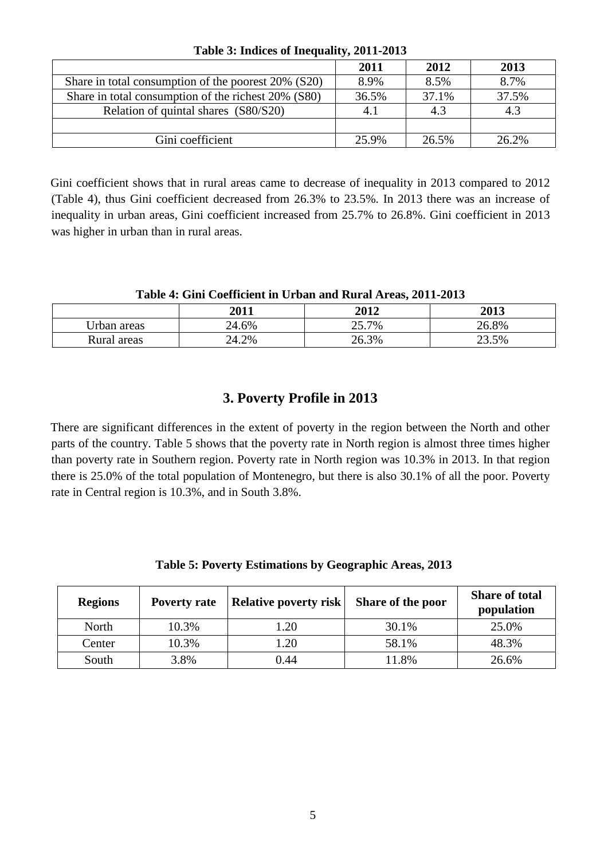|                                                     | 2011  | 2012  | 2013  |
|-----------------------------------------------------|-------|-------|-------|
| Share in total consumption of the poorest 20% (S20) | 8.9%  | 8.5%  | 8.7%  |
| Share in total consumption of the richest 20% (S80) | 36.5% | 37.1% | 37.5% |
| Relation of quintal shares (S80/S20)                | 4.1   | 4.3   | 4.3   |
|                                                     |       |       |       |
| Gini coefficient                                    | 25.9% | 26.5% | 26.2% |

**Table 3: Indices of Inequality, 2011-2013**

Gini coefficient shows that in rural areas came to decrease of inequality in 2013 compared to 2012 (Table 4), thus Gini coefficient decreased from 26.3% to 23.5%. In 2013 there was an increase of inequality in urban areas, Gini coefficient increased from 25.7% to 26.8%. Gini coefficient in 2013 was higher in urban than in rural areas.

### **Table 4: Gini Coefficient in Urban and Rural Areas, 2011-2013**

|             | 2011  | 2012  | 2013  |
|-------------|-------|-------|-------|
| Urban areas | 24.6% | 25.7% | .8%   |
| Rural areas | 24.2% | 26.3% | 23.5% |

# **3. Poverty Profile in 2013**

There are significant differences in the extent of poverty in the region between the North and other parts of the country. Table 5 shows that the poverty rate in North region is almost three times higher than poverty rate in Southern region. Poverty rate in North region was 10.3% in 2013. In that region there is 25.0% of the total population of Montenegro, but there is also 30.1% of all the poor. Poverty rate in Central region is 10.3%, and in South 3.8%.

| <b>Regions</b> | <b>Poverty rate</b> | <b>Relative poverty risk</b> | Share of the poor | <b>Share of total</b><br>population |
|----------------|---------------------|------------------------------|-------------------|-------------------------------------|
| North          | 10.3%               | 1.20                         | 30.1%             | 25.0%                               |
| Center         | 10.3%               | 1.20                         | 58.1%             | 48.3%                               |
| South          | 3.8%                | 0.44                         | 11.8%             | 26.6%                               |

**Table 5: Poverty Estimations by Geographic Areas, 2013**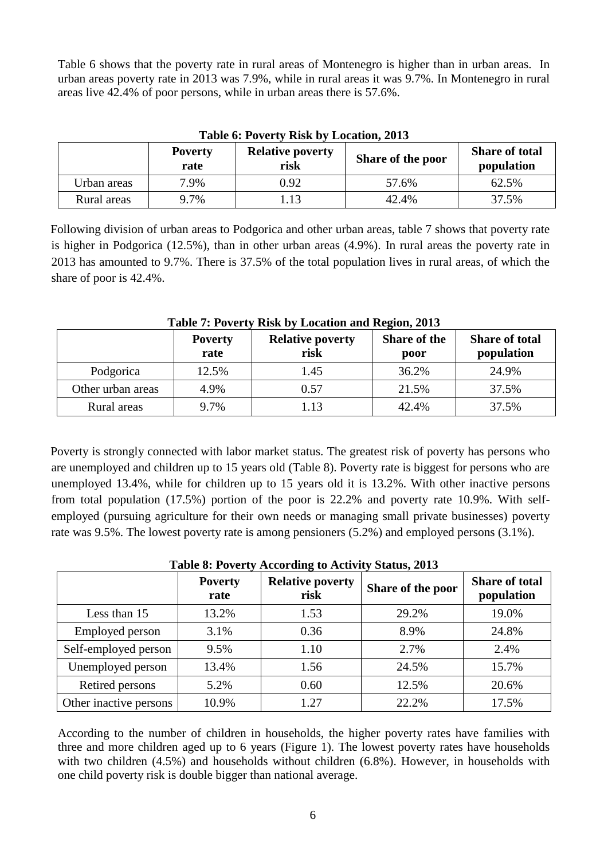Table 6 shows that the poverty rate in rural areas of Montenegro is higher than in urban areas. In urban areas poverty rate in 2013 was 7.9%, while in rural areas it was 9.7%. In Montenegro in rural areas live 42.4% of poor persons, while in urban areas there is 57.6%.

| <b>Table 6: POVERTY KISK DY LOCATION, 2013</b> |                        |                                 |                          |                                     |  |  |  |
|------------------------------------------------|------------------------|---------------------------------|--------------------------|-------------------------------------|--|--|--|
|                                                | <b>Poverty</b><br>rate | <b>Relative poverty</b><br>risk | <b>Share of the poor</b> | <b>Share of total</b><br>population |  |  |  |
| Urban areas                                    | 7.9%                   | 0.92                            | 57.6%                    | 62.5%                               |  |  |  |
| Rural areas                                    | 9.7%                   | 1.13                            | 42.4%                    | 37.5%                               |  |  |  |

**Table 6: Poverty Risk by Location, 2013**

Following division of urban areas to Podgorica and other urban areas, table 7 shows that poverty rate is higher in Podgorica (12.5%), than in other urban areas (4.9%). In rural areas the poverty rate in 2013 has amounted to 9.7%. There is 37.5% of the total population lives in rural areas, of which the share of poor is 42.4%.

|                   | <b>Poverty</b><br>rate | <b>Relative poverty</b><br>risk | <b>Share of the</b><br>poor | <b>Share of total</b><br>population |
|-------------------|------------------------|---------------------------------|-----------------------------|-------------------------------------|
| Podgorica         | 12.5%                  | 1.45                            | 36.2%                       | 24.9%                               |
| Other urban areas | 4.9%                   | 0.57                            | 21.5%                       | 37.5%                               |
| Rural areas       | 9.7%                   | 1.13                            | 42.4%                       | 37.5%                               |

# **Table 7: Poverty Risk by Location and Region, 2013**

Poverty is strongly connected with labor market status. The greatest risk of poverty has persons who are unemployed and children up to 15 years old (Table 8). Poverty rate is biggest for persons who are unemployed 13.4%, while for children up to 15 years old it is 13.2%. With other inactive persons from total population (17.5%) portion of the poor is 22.2% and poverty rate 10.9%. With selfemployed (pursuing agriculture for their own needs or managing small private businesses) poverty rate was 9.5%. The lowest poverty rate is among pensioners (5.2%) and employed persons (3.1%).

|                        | <b>Poverty</b><br>rate | <b>Relative poverty</b><br>risk | Share of the poor | <b>Share of total</b><br>population |
|------------------------|------------------------|---------------------------------|-------------------|-------------------------------------|
| Less than 15           | 13.2%                  | 1.53                            | 29.2%             | 19.0%                               |
| <b>Employed person</b> | 3.1%                   | 0.36                            | 8.9%              | 24.8%                               |
| Self-employed person   | 9.5%                   | 1.10                            | 2.7%              | 2.4%                                |
| Unemployed person      | 13.4%                  | 1.56                            | 24.5%             | 15.7%                               |
| Retired persons        | 5.2%                   | 0.60                            | 12.5%             | 20.6%                               |
| Other inactive persons | 10.9%                  | 1.27                            | 22.2%             | 17.5%                               |

# **Table 8: Poverty According to Activity Status, 2013**

According to the number of children in households, the higher poverty rates have families with three and more children aged up to 6 years (Figure 1). The lowest poverty rates have households with two children (4.5%) and households without children (6.8%). However, in households with one child poverty risk is double bigger than national average.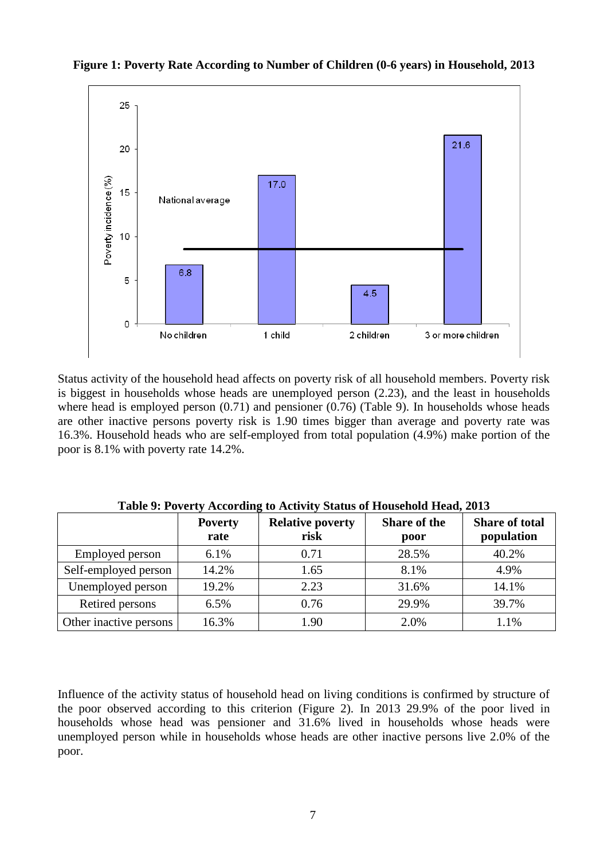

**Figure 1: Poverty Rate According to Number of Children (0-6 years) in Household, 2013**

Status activity of the household head affects on poverty risk of all household members. Poverty risk is biggest in households whose heads are unemployed person (2.23), and the least in households where head is employed person  $(0.71)$  and pensioner  $(0.76)$  (Table 9). In households whose heads are other inactive persons poverty risk is 1.90 times bigger than average and poverty rate was 16.3%. Household heads who are self-employed from total population (4.9%) make portion of the poor is 8.1% with poverty rate 14.2%.

|                        | <b>Poverty</b><br>rate | <b>Relative poverty</b><br>risk | <b>Share of the</b><br>poor | <b>Share of total</b><br>population |
|------------------------|------------------------|---------------------------------|-----------------------------|-------------------------------------|
| Employed person        | 6.1%                   | 0.71                            | 28.5%                       | 40.2%                               |
| Self-employed person   | 14.2%                  | 1.65                            | 8.1%                        | 4.9%                                |
| Unemployed person      | 19.2%                  | 2.23                            | 31.6%                       | 14.1%                               |
| Retired persons        | 6.5%                   | 0.76                            | 29.9%                       | 39.7%                               |
| Other inactive persons | 16.3%                  | 1.90                            | 2.0%                        | 1.1%                                |

**Table 9: Poverty According to Activity Status of Household Head, 2013**

Influence of the activity status of household head on living conditions is confirmed by structure of the poor observed according to this criterion (Figure 2). In 2013 29.9% of the poor lived in households whose head was pensioner and 31.6% lived in households whose heads were unemployed person while in households whose heads are other inactive persons live 2.0% of the poor.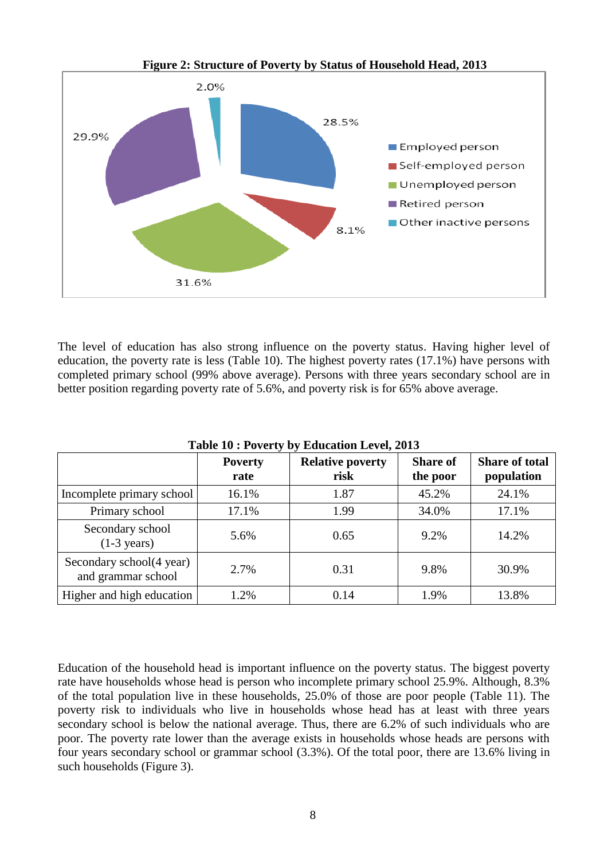

**Figure 2: Structure of Poverty by Status of Household Head, 2013**

The level of education has also strong influence on the poverty status. Having higher level of education, the poverty rate is less (Table 10). The highest poverty rates (17.1%) have persons with completed primary school (99% above average). Persons with three years secondary school are in better position regarding poverty rate of 5.6%, and poverty risk is for 65% above average.

| Table To . I overly by Equitation Level, 2015  |                        |                                 |                             |                                     |
|------------------------------------------------|------------------------|---------------------------------|-----------------------------|-------------------------------------|
|                                                | <b>Poverty</b><br>rate | <b>Relative poverty</b><br>risk | <b>Share of</b><br>the poor | <b>Share of total</b><br>population |
| Incomplete primary school                      | 16.1%                  | 1.87                            | 45.2%                       | 24.1%                               |
| Primary school                                 | 17.1%                  | 1.99                            | 34.0%                       | 17.1%                               |
| Secondary school<br>$(1-3 \text{ years})$      | 5.6%                   | 0.65                            | 9.2%                        | 14.2%                               |
| Secondary school(4 year)<br>and grammar school | 2.7%                   | 0.31                            | 9.8%                        | 30.9%                               |
| Higher and high education                      | 1.2%                   | 0.14                            | 1.9%                        | 13.8%                               |

**Table 10 : Poverty by Education Level, 2013**

Education of the household head is important influence on the poverty status. The biggest poverty rate have households whose head is person who incomplete primary school 25.9%. Although, 8.3% of the total population live in these households, 25.0% of those are poor people (Table 11). The poverty risk to individuals who live in households whose head has at least with three years secondary school is below the national average. Thus, there are 6.2% of such individuals who are poor. The poverty rate lower than the average exists in households whose heads are persons with four years secondary school or grammar school (3.3%). Of the total poor, there are 13.6% living in such households (Figure 3).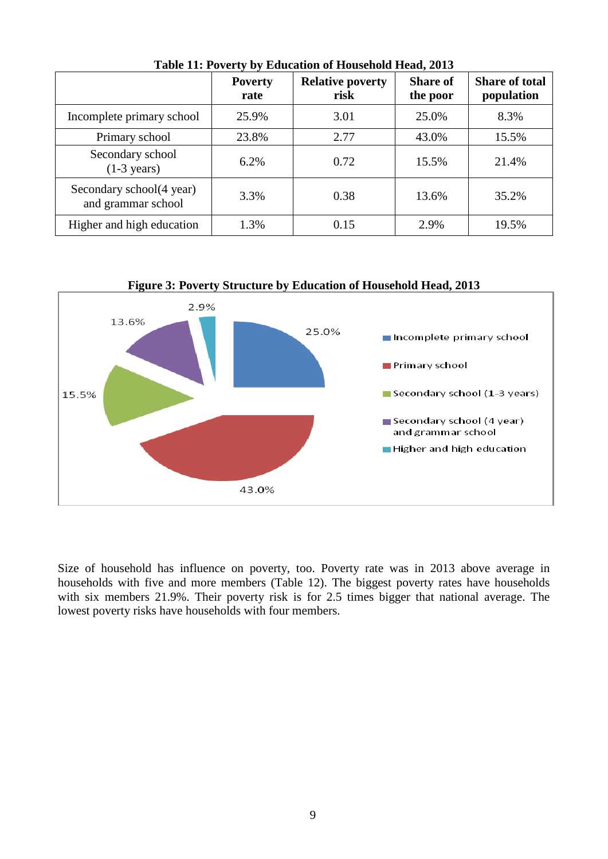|                                                | <b>Poverty</b><br>rate | <b>Relative poverty</b><br>risk | <b>Share of</b><br>the poor | <b>Share of total</b><br>population |
|------------------------------------------------|------------------------|---------------------------------|-----------------------------|-------------------------------------|
| Incomplete primary school                      | 25.9%                  | 3.01                            | 25.0%                       | 8.3%                                |
| Primary school                                 | 23.8%                  | 2.77                            | 43.0%                       | 15.5%                               |
| Secondary school<br>$(1-3 \text{ years})$      | 6.2%                   | 0.72                            | 15.5%                       | 21.4%                               |
| Secondary school(4 year)<br>and grammar school | 3.3%                   | 0.38                            | 13.6%                       | 35.2%                               |
| Higher and high education                      | 1.3%                   | 0.15                            | 2.9%                        | 19.5%                               |

**Table 11: Poverty by Education of Household Head, 2013**



**Figure 3: Poverty Structure by Education of Household Head, 2013**

Size of household has influence on poverty, too. Poverty rate was in 2013 above average in households with five and more members (Table 12). The biggest poverty rates have households with six members 21.9%. Their poverty risk is for 2.5 times bigger that national average. The lowest poverty risks have households with four members.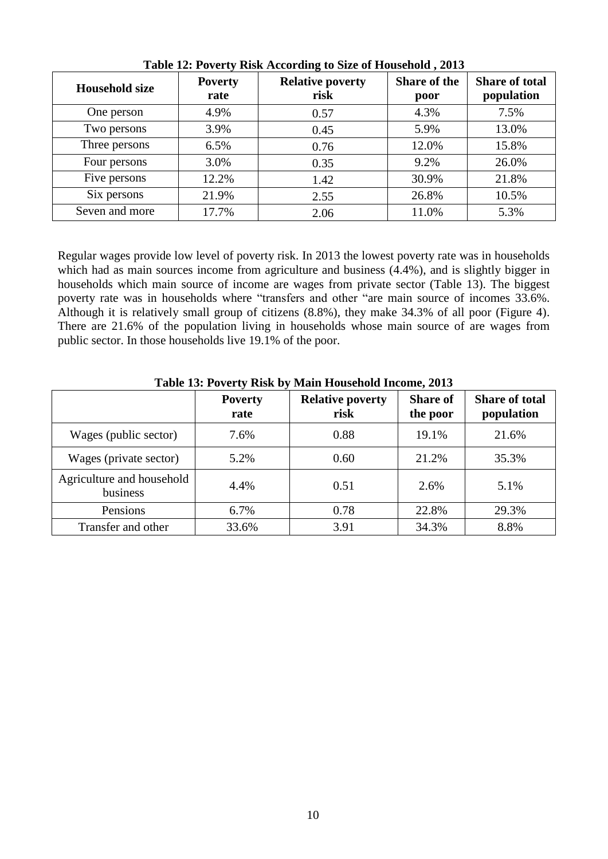| <b>Household size</b> | <b>Poverty</b><br>rate | <b>Relative poverty</b><br>risk | <b>Share of the</b><br>poor | <b>Share of total</b><br>population |
|-----------------------|------------------------|---------------------------------|-----------------------------|-------------------------------------|
| One person            | 4.9%                   | 0.57                            | 4.3%                        | 7.5%                                |
| Two persons           | 3.9%                   | 0.45                            | 5.9%                        | 13.0%                               |
| Three persons         | 6.5%                   | 0.76                            | 12.0%                       | 15.8%                               |
| Four persons          | 3.0%                   | 0.35                            | 9.2%                        | 26.0%                               |
| Five persons          | 12.2%                  | 1.42                            | 30.9%                       | 21.8%                               |
| Six persons           | 21.9%                  | 2.55                            | 26.8%                       | 10.5%                               |
| Seven and more        | 17.7%                  | 2.06                            | 11.0%                       | 5.3%                                |

**Table 12: Poverty Risk According to Size of Household , 2013**

Regular wages provide low level of poverty risk. In 2013 the lowest poverty rate was in households which had as main sources income from agriculture and business (4.4%), and is slightly bigger in households which main source of income are wages from private sector (Table 13). The biggest poverty rate was in households where "transfers and other "are main source of incomes 33.6%. Although it is relatively small group of citizens (8.8%), they make 34.3% of all poor (Figure 4). There are 21.6% of the population living in households whose main source of are wages from public sector. In those households live 19.1% of the poor.

| Table Is, I grefty Islah by Blain Household Income, 2015 |                        |                                 |                             |                                     |
|----------------------------------------------------------|------------------------|---------------------------------|-----------------------------|-------------------------------------|
|                                                          | <b>Poverty</b><br>rate | <b>Relative poverty</b><br>risk | <b>Share of</b><br>the poor | <b>Share of total</b><br>population |
| Wages (public sector)                                    | 7.6%                   | 0.88                            | 19.1%                       | 21.6%                               |
| Wages (private sector)                                   | 5.2%                   | 0.60                            | 21.2%                       | 35.3%                               |
| Agriculture and household<br>business                    | 4.4%                   | 0.51                            | 2.6%                        | 5.1%                                |
| Pensions                                                 | 6.7%                   | 0.78                            | 22.8%                       | 29.3%                               |
| Transfer and other                                       | 33.6%                  | 3.91                            | 34.3%                       | 8.8%                                |

**Table 13: Poverty Risk by Main Household Income, 2013**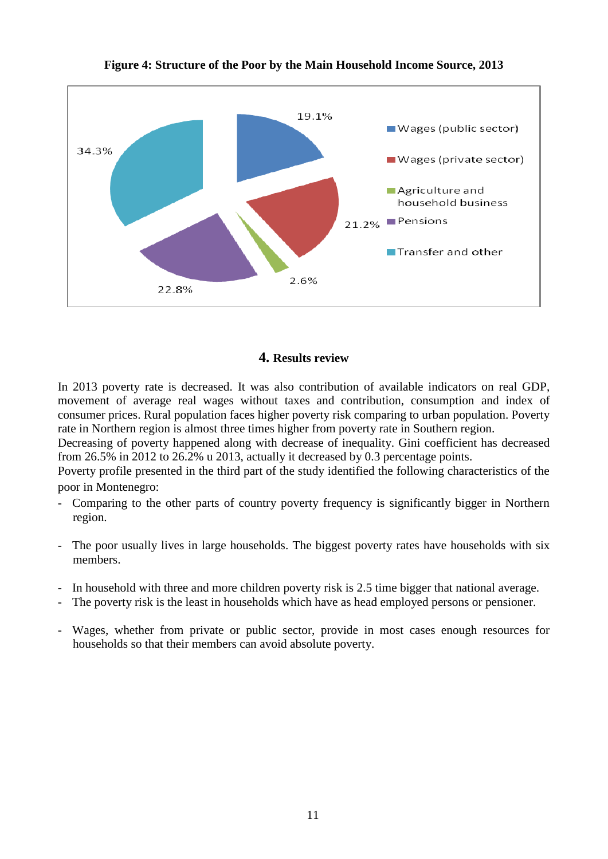

**Figure 4: Structure of the Poor by the Main Household Income Source, 2013**

# **4. Results review**

In 2013 poverty rate is decreased. It was also contribution of available indicators on real GDP, movement of average real wages without taxes and contribution, consumption and index of consumer prices. Rural population faces higher poverty risk comparing to urban population. Poverty rate in Northern region is almost three times higher from poverty rate in Southern region.

Decreasing of poverty happened along with decrease of inequality. Gini coefficient has decreased from 26.5% in 2012 to 26.2% u 2013, actually it decreased by 0.3 percentage points.

Poverty profile presented in the third part of the study identified the following characteristics of the poor in Montenegro:

- Comparing to the other parts of country poverty frequency is significantly bigger in Northern region.
- The poor usually lives in large households. The biggest poverty rates have households with six members.
- In household with three and more children poverty risk is 2.5 time bigger that national average.
- The poverty risk is the least in households which have as head employed persons or pensioner.
- Wages, whether from private or public sector, provide in most cases enough resources for households so that their members can avoid absolute poverty.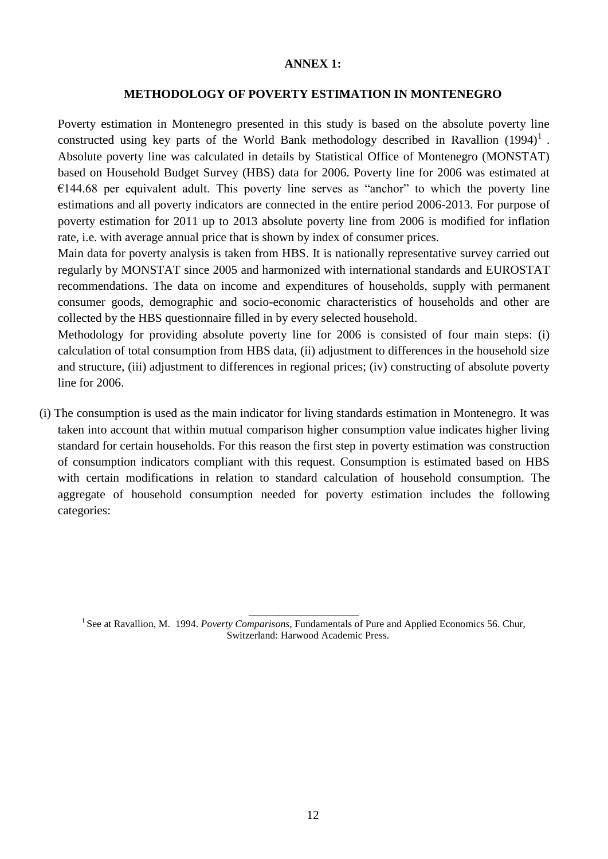### **ANNEX 1:**

### **METHODOLOGY OF POVERTY ESTIMATION IN MONTENEGRO**

Poverty estimation in Montenegro presented in this study is based on the absolute poverty line constructed using key parts of the World Bank methodology described in Ravallion  $(1994)^{1}$ . Absolute poverty line was calculated in details by Statistical Office of Montenegro (MONSTAT) based on Household Budget Survey (HBS) data for 2006. Poverty line for 2006 was estimated at  $€144.68$  per equivalent adult. This poverty line serves as "anchor" to which the poverty line estimations and all poverty indicators are connected in the entire period 2006-2013. For purpose of poverty estimation for 2011 up to 2013 absolute poverty line from 2006 is modified for inflation rate, i.e. with average annual price that is shown by index of consumer prices.

Main data for poverty analysis is taken from HBS. It is nationally representative survey carried out regularly by MONSTAT since 2005 and harmonized with international standards and EUROSTAT recommendations. The data on income and expenditures of households, supply with permanent consumer goods, demographic and socio-economic characteristics of households and other are collected by the HBS questionnaire filled in by every selected household.

Methodology for providing absolute poverty line for 2006 is consisted of four main steps: (i) calculation of total consumption from HBS data, (ii) adjustment to differences in the household size and structure, (iii) adjustment to differences in regional prices; (iv) constructing of absolute poverty line for 2006.

(i) The consumption is used as the main indicator for living standards estimation in Montenegro. It was taken into account that within mutual comparison higher consumption value indicates higher living standard for certain households. For this reason the first step in poverty estimation was construction of consumption indicators compliant with this request. Consumption is estimated based on HBS with certain modifications in relation to standard calculation of household consumption. The aggregate of household consumption needed for poverty estimation includes the following categories:

\_\_\_\_\_\_\_\_\_\_\_\_\_\_\_\_\_\_ <sup>1</sup> See at Ravallion, M. 1994. *Poverty Comparisons*, Fundamentals of Pure and Applied Economics 56. Chur, Switzerland: Harwood Academic Press.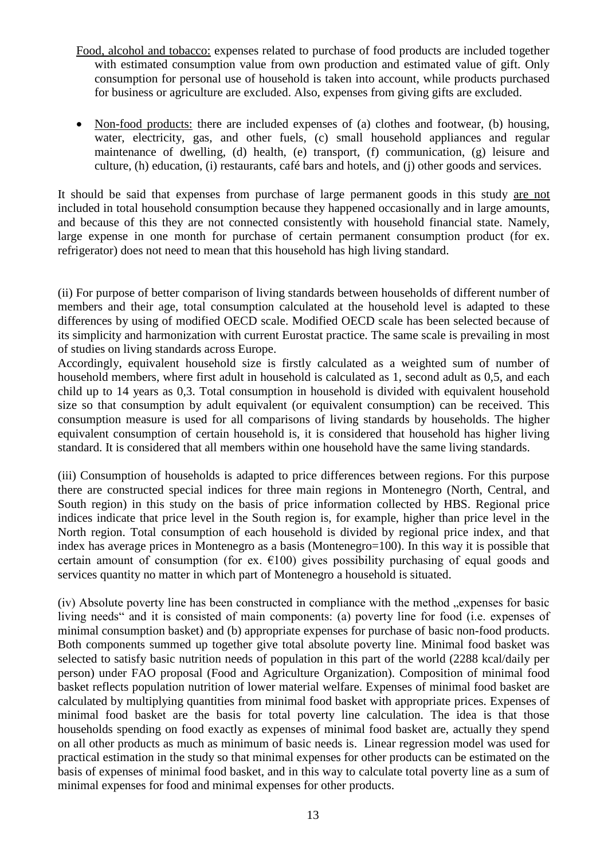- Food, alcohol and tobacco: expenses related to purchase of food products are included together with estimated consumption value from own production and estimated value of gift. Only consumption for personal use of household is taken into account, while products purchased for business or agriculture are excluded. Also, expenses from giving gifts are excluded.
- Non-food products: there are included expenses of (a) clothes and footwear, (b) housing, water, electricity, gas, and other fuels, (c) small household appliances and regular maintenance of dwelling, (d) health, (e) transport, (f) communication, (g) leisure and culture, (h) education, (i) restaurants, café bars and hotels, and (j) other goods and services.

It should be said that expenses from purchase of large permanent goods in this study are not included in total household consumption because they happened occasionally and in large amounts, and because of this they are not connected consistently with household financial state. Namely, large expense in one month for purchase of certain permanent consumption product (for ex. refrigerator) does not need to mean that this household has high living standard.

(ii) For purpose of better comparison of living standards between households of different number of members and their age, total consumption calculated at the household level is adapted to these differences by using of modified OECD scale. Modified OECD scale has been selected because of its simplicity and harmonization with current Eurostat practice. The same scale is prevailing in most of studies on living standards across Europe.

Accordingly, equivalent household size is firstly calculated as a weighted sum of number of household members, where first adult in household is calculated as 1, second adult as 0,5, and each child up to 14 years as 0,3. Total consumption in household is divided with equivalent household size so that consumption by adult equivalent (or equivalent consumption) can be received. This consumption measure is used for all comparisons of living standards by households. The higher equivalent consumption of certain household is, it is considered that household has higher living standard. It is considered that all members within one household have the same living standards.

(iii) Consumption of households is adapted to price differences between regions. For this purpose there are constructed special indices for three main regions in Montenegro (North, Central, and South region) in this study on the basis of price information collected by HBS. Regional price indices indicate that price level in the South region is, for example, higher than price level in the North region. Total consumption of each household is divided by regional price index, and that index has average prices in Montenegro as a basis (Montenegro=100). In this way it is possible that certain amount of consumption (for ex.  $E100$ ) gives possibility purchasing of equal goods and services quantity no matter in which part of Montenegro a household is situated.

(iv) Absolute poverty line has been constructed in compliance with the method "expenses for basic living needs" and it is consisted of main components: (a) poverty line for food (i.e. expenses of minimal consumption basket) and (b) appropriate expenses for purchase of basic non-food products. Both components summed up together give total absolute poverty line. Minimal food basket was selected to satisfy basic nutrition needs of population in this part of the world (2288 kcal/daily per person) under FAO proposal (Food and Agriculture Organization). Composition of minimal food basket reflects population nutrition of lower material welfare. Expenses of minimal food basket are calculated by multiplying quantities from minimal food basket with appropriate prices. Expenses of minimal food basket are the basis for total poverty line calculation. The idea is that those households spending on food exactly as expenses of minimal food basket are, actually they spend on all other products as much as minimum of basic needs is. Linear regression model was used for practical estimation in the study so that minimal expenses for other products can be estimated on the basis of expenses of minimal food basket, and in this way to calculate total poverty line as a sum of minimal expenses for food and minimal expenses for other products.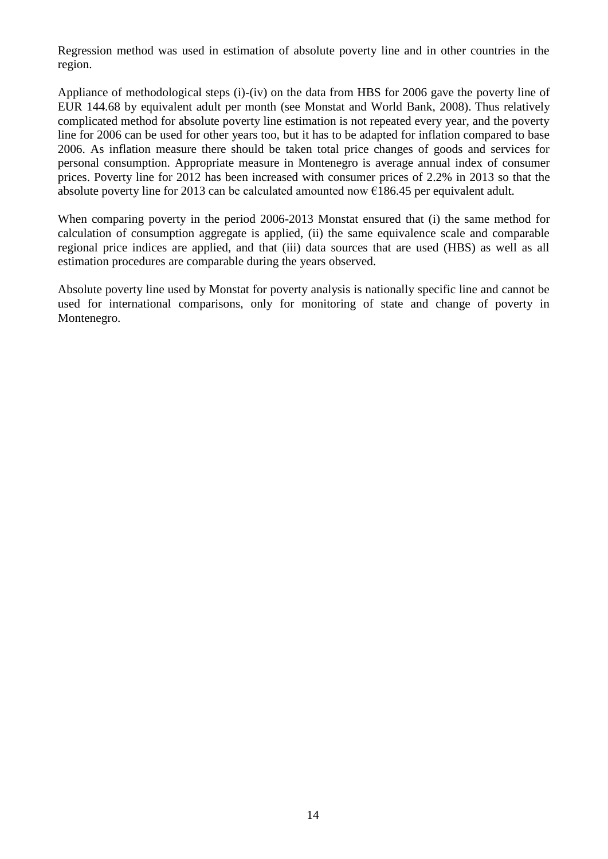Regression method was used in estimation of absolute poverty line and in other countries in the region.

Appliance of methodological steps (i)-(iv) on the data from HBS for 2006 gave the poverty line of EUR 144.68 by equivalent adult per month (see Monstat and World Bank, 2008). Thus relatively complicated method for absolute poverty line estimation is not repeated every year, and the poverty line for 2006 can be used for other years too, but it has to be adapted for inflation compared to base 2006. As inflation measure there should be taken total price changes of goods and services for personal consumption. Appropriate measure in Montenegro is average annual index of consumer prices. Poverty line for 2012 has been increased with consumer prices of 2.2% in 2013 so that the absolute poverty line for 2013 can be calculated amounted now  $\epsilon$ 186.45 per equivalent adult.

When comparing poverty in the period 2006-2013 Monstat ensured that (i) the same method for calculation of consumption aggregate is applied, (ii) the same equivalence scale and comparable regional price indices are applied, and that (iii) data sources that are used (HBS) as well as all estimation procedures are comparable during the years observed.

Absolute poverty line used by Monstat for poverty analysis is nationally specific line and cannot be used for international comparisons, only for monitoring of state and change of poverty in Montenegro.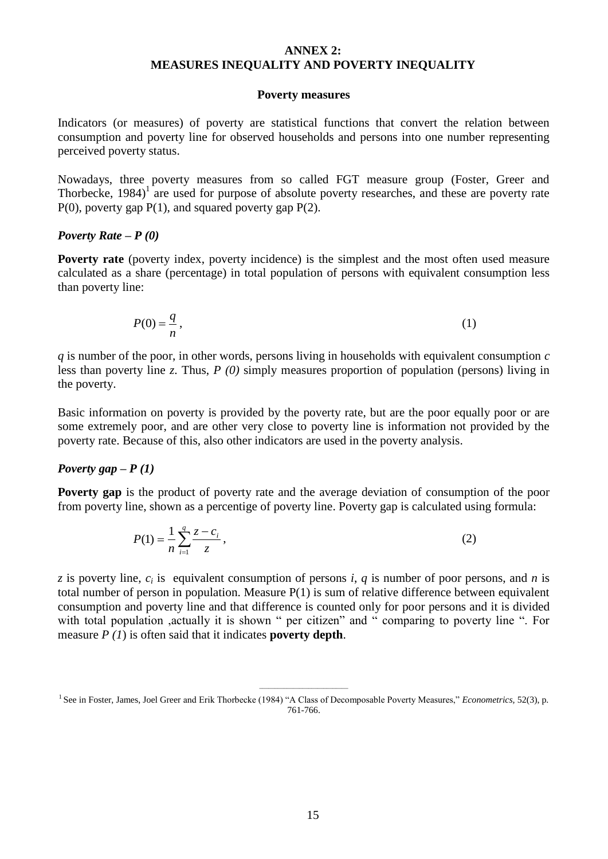#### **ANNEX 2: MEASURES INEQUALITY AND POVERTY INEQUALITY**

#### **Poverty measures**

Indicators (or measures) of poverty are statistical functions that convert the relation between consumption and poverty line for observed households and persons into one number representing perceived poverty status.

Nowadays, three poverty measures from so called FGT measure group (Foster, Greer and Thorbecke,  $1984$ <sup> $1$ </sup> are used for purpose of absolute poverty researches, and these are poverty rate  $P(0)$ , poverty gap  $P(1)$ , and squared poverty gap  $P(2)$ .

#### *Poverty Rate – P (0)*

**Poverty rate** (poverty index, poverty incidence) is the simplest and the most often used measure calculated as a share (percentage) in total population of persons with equivalent consumption less than poverty line:

$$
P(0) = \frac{q}{n},\tag{1}
$$

*q* is number of the poor, in other words, persons living in households with equivalent consumption *c* less than poverty line *z*. Thus, *P (0)* simply measures proportion of population (persons) living in the poverty.

Basic information on poverty is provided by the poverty rate, but are the poor equally poor or are some extremely poor, and are other very close to poverty line is information not provided by the poverty rate. Because of this, also other indicators are used in the poverty analysis.

#### *Poverty gap – P (1)*

**Poverty gap** is the product of poverty rate and the average deviation of consumption of the poor from poverty line, shown as a percentige of poverty line. Poverty gap is calculated using formula:

$$
P(1) = \frac{1}{n} \sum_{i=1}^{q} \frac{z - c_i}{z},
$$
\n(2)

*z* is poverty line, *c<sup>i</sup>* is equivalent consumption of persons *i*, *q* is number of poor persons, and *n* is total number of person in population. Measure P(1) is sum of relative difference between equivalent consumption and poverty line and that difference is counted only for poor persons and it is divided with total population ,actually it is shown " per citizen" and " comparing to poverty line ". For measure *P (1*) is often said that it indicates **poverty depth**.

\_\_\_\_\_\_\_\_\_\_\_\_\_\_\_\_\_\_\_\_\_\_\_\_\_\_\_\_\_ <sup>1</sup> See in Foster, James, Joel Greer and Erik Thorbecke (1984) "A Class of Decomposable Poverty Measures," *Econometrics*, 52(3), p. 761-766.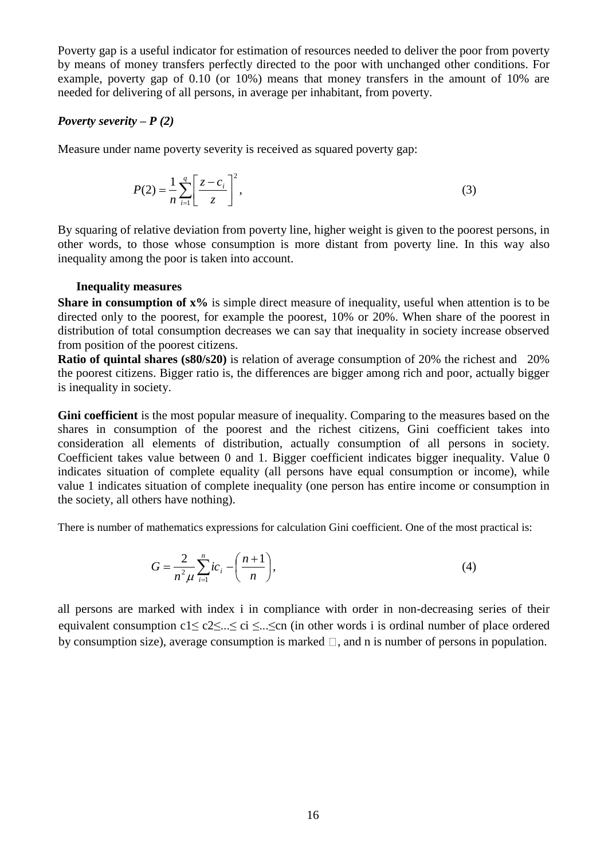Poverty gap is a useful indicator for estimation of resources needed to deliver the poor from poverty by means of money transfers perfectly directed to the poor with unchanged other conditions. For example, poverty gap of 0.10 (or 10%) means that money transfers in the amount of 10% are needed for delivering of all persons, in average per inhabitant, from poverty.

# *Poverty severity – P (2)*

Measure under name poverty severity is received as squared poverty gap:

$$
P(2) = \frac{1}{n} \sum_{i=1}^{q} \left[ \frac{z - c_i}{z} \right]^2,
$$
 (3)

By squaring of relative deviation from poverty line, higher weight is given to the poorest persons, in other words, to those whose consumption is more distant from poverty line. In this way also inequality among the poor is taken into account.

### **Inequality measures**

**Share in consumption of**  $x\%$  is simple direct measure of inequality, useful when attention is to be directed only to the poorest, for example the poorest, 10% or 20%. When share of the poorest in distribution of total consumption decreases we can say that inequality in society increase observed from position of the poorest citizens.

**Ratio of quintal shares (s80/s20)** is relation of average consumption of 20% the richest and 20% the poorest citizens. Bigger ratio is, the differences are bigger among rich and poor, actually bigger is inequality in society.

**Gini coefficient** is the most popular measure of inequality. Comparing to the measures based on the shares in consumption of the poorest and the richest citizens, Gini coefficient takes into consideration all elements of distribution, actually consumption of all persons in society. Coefficient takes value between 0 and 1. Bigger coefficient indicates bigger inequality. Value 0 indicates situation of complete equality (all persons have equal consumption or income), while value 1 indicates situation of complete inequality (one person has entire income or consumption in the society, all others have nothing).

There is number of mathematics expressions for calculation Gini coefficient. One of the most practical is:

$$
G = \frac{2}{n^2 \mu} \sum_{i=1}^{n} i c_i - \left(\frac{n+1}{n}\right),
$$
 (4)

all persons are marked with index i in compliance with order in non-decreasing series of their equivalent consumption c1≤ c2≤...≤ ci ≤...≤cn (in other words i is ordinal number of place ordered by consumption size), average consumption is marked  $\Box$ , and n is number of persons in population.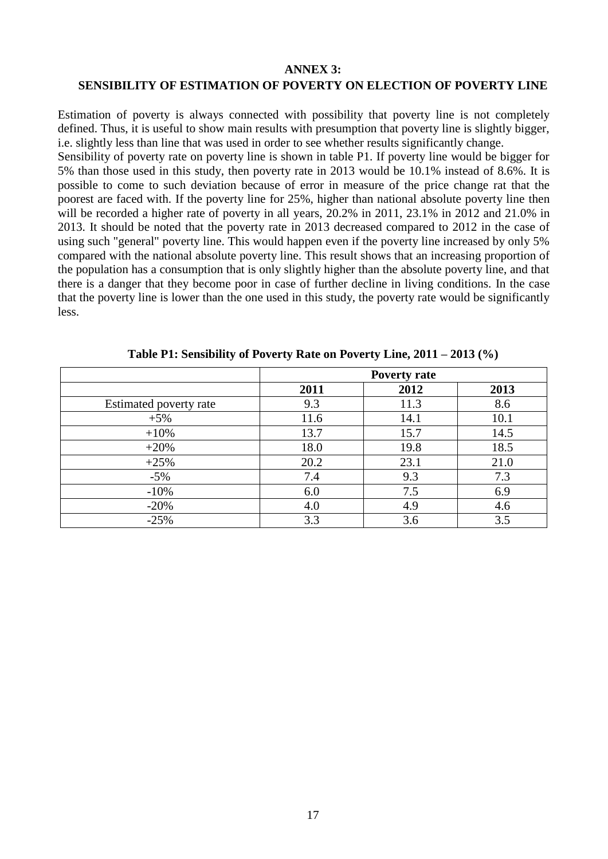#### **ANNEX 3:**

#### **SENSIBILITY OF ESTIMATION OF POVERTY ON ELECTION OF POVERTY LINE**

Estimation of poverty is always connected with possibility that poverty line is not completely defined. Thus, it is useful to show main results with presumption that poverty line is slightly bigger, i.e. slightly less than line that was used in order to see whether results significantly change.

Sensibility of poverty rate on poverty line is shown in table P1. If poverty line would be bigger for 5% than those used in this study, then poverty rate in 2013 would be 10.1% instead of 8.6%. It is possible to come to such deviation because of error in measure of the price change rat that the poorest are faced with. If the poverty line for 25%, higher than national absolute poverty line then will be recorded a higher rate of poverty in all years, 20.2% in 2011, 23.1% in 2012 and 21.0% in 2013. It should be noted that the poverty rate in 2013 decreased compared to 2012 in the case of using such "general" poverty line. This would happen even if the poverty line increased by only 5% compared with the national absolute poverty line. This result shows that an increasing proportion of the population has a consumption that is only slightly higher than the absolute poverty line, and that there is a danger that they become poor in case of further decline in living conditions. In the case that the poverty line is lower than the one used in this study, the poverty rate would be significantly less.

|                        | <b>Poverty rate</b> |      |      |
|------------------------|---------------------|------|------|
|                        | 2011                | 2012 | 2013 |
| Estimated poverty rate | 9.3                 | 11.3 | 8.6  |
| $+5%$                  | 11.6                | 14.1 | 10.1 |
| $+10%$                 | 13.7                | 15.7 | 14.5 |
| $+20%$                 | 18.0                | 19.8 | 18.5 |
| $+25%$                 | 20.2                | 23.1 | 21.0 |
| $-5%$                  | 7.4                 | 9.3  | 7.3  |
| $-10%$                 | 6.0                 | 7.5  | 6.9  |
| $-20%$                 | 4.0                 | 4.9  | 4.6  |
| $-25%$                 | 3.3                 | 3.6  | 3.5  |

**Table P1: Sensibility of Poverty Rate on Poverty Line, 2011 – 2013 (%)**